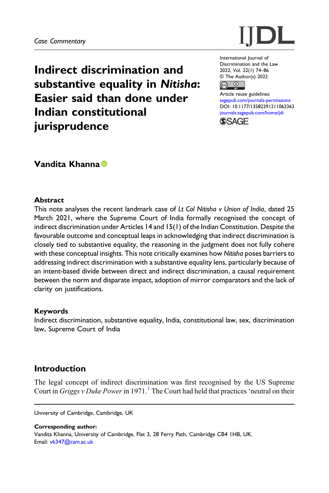

Indirect discrimination and substantive equality in Nitisha: Easier said than done under Indian constitutional **jurisprudence** 

International Journal of Discrimination and the Law 2022, Vol. 22(1) 74–86 © The Author(s) 2022



Article reuse guidelines: [sagepub.com/journals-permissions](https://uk.sagepub.com/en-gb/journals-permissions) DOI: [10.1177/13582291211062363](https://doi.org/10.1177/13582291211062363) [journals.sagepub.com/home/jdi](https://journals.sagepub.com/home/jdi) **SSAGF** 

# Vandita Khanna<sup>®</sup>

### **Abstract**

This note analyses the recent landmark case of Lt Col Nitisha v Union of India, dated 25 March 2021, where the Supreme Court of India formally recognised the concept of indirect discrimination under Articles 14 and 15(1) of the Indian Constitution. Despite the favourable outcome and conceptual leaps in acknowledging that indirect discrimination is closely tied to substantive equality, the reasoning in the judgment does not fully cohere with these conceptual insights. This note critically examines how Nitisha poses barriers to addressing indirect discrimination with a substantive equality lens, particularly because of an intent-based divide between direct and indirect discrimination, a causal requirement between the norm and disparate impact, adoption of mirror comparators and the lack of clarity on justifications.

### Keywords

Indirect discrimination, substantive equality, India, constitutional law, sex, discrimination law, Supreme Court of India

# Introduction

The legal concept of indirect discrimination was first recognised by the US Supreme Court in Griggs v Duke Power in [1](#page-9-0)971.<sup>1</sup> The Court had held that practices 'neutral on their

University of Cambridge, Cambridge, UK

Corresponding author: Vandita Khanna, University of Cambridge, Flat 3, 28 Ferry Path, Cambridge CB4 1HB, UK. Email: [vk347@cam.ac.uk](mailto:vk347@cam.ac.uk)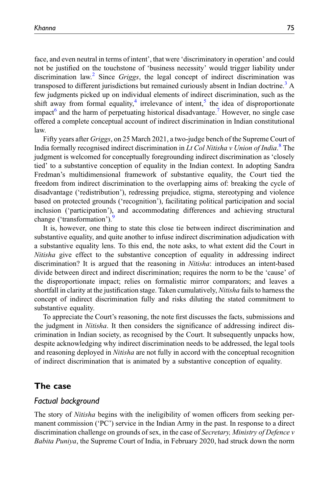face, and even neutral in terms of intent', that were 'discriminatory in operation' and could not be justified on the touchstone of 'business necessity' would trigger liability under discrimination law.<sup>[2](#page-9-1)</sup> Since Griggs, the legal concept of indirect discrimination was transposed to different jurisdictions but remained curiously absent in Indian doctrine.<sup>[3](#page-9-2)</sup> A few judgments picked up on individual elements of indirect discrimination, such as the shift away from formal equality, $4$  irrelevance of intent, $5$  the idea of disproportionate impact<sup>[6](#page-9-5)</sup> and the harm of perpetuating historical disadvantage.<sup>[7](#page-9-6)</sup> However, no single case offered a complete conceptual account of indirect discrimination in Indian constitutional law.

Fifty years after Griggs, on 25 March 2021, a two-judge bench of the Supreme Court of India formally recognised indirect discrimination in Lt Col Nitisha v Union of India.<sup>[8](#page-9-7)</sup> The judgment is welcomed for conceptually foregrounding indirect discrimination as 'closely tied' to a substantive conception of equality in the Indian context. In adopting Sandra Fredman's multidimensional framework of substantive equality, the Court tied the freedom from indirect discrimination to the overlapping aims of: breaking the cycle of disadvantage ('redistribution'), redressing prejudice, stigma, stereotyping and violence based on protected grounds ('recognition'), facilitating political participation and social inclusion ('participation'), and accommodating differences and achieving structural change ('transformation').<sup>[9](#page-9-8)</sup>

It is, however, one thing to state this close tie between indirect discrimination and substantive equality, and quite another to infuse indirect discrimination adjudication with a substantive equality lens. To this end, the note asks, to what extent did the Court in Nitisha give effect to the substantive conception of equality in addressing indirect discrimination? It is argued that the reasoning in *Nitisha*: introduces an intent-based divide between direct and indirect discrimination; requires the norm to be the 'cause' of the disproportionate impact; relies on formalistic mirror comparators; and leaves a shortfall in clarity at the justification stage. Taken cumulatively, Nitisha fails to harness the concept of indirect discrimination fully and risks diluting the stated commitment to substantive equality.

To appreciate the Court's reasoning, the note first discusses the facts, submissions and the judgment in Nitisha. It then considers the significance of addressing indirect discrimination in Indian society, as recognised by the Court. It subsequently unpacks how, despite acknowledging why indirect discrimination needs to be addressed, the legal tools and reasoning deployed in *Nitisha* are not fully in accord with the conceptual recognition of indirect discrimination that is animated by a substantive conception of equality.

# The case

### Factual background

The story of *Nitisha* begins with the ineligibility of women officers from seeking permanent commission ('PC') service in the Indian Army in the past. In response to a direct discrimination challenge on grounds of sex, in the case of *Secretary, Ministry of Defence v* Babita Puniya, the Supreme Court of India, in February 2020, had struck down the norm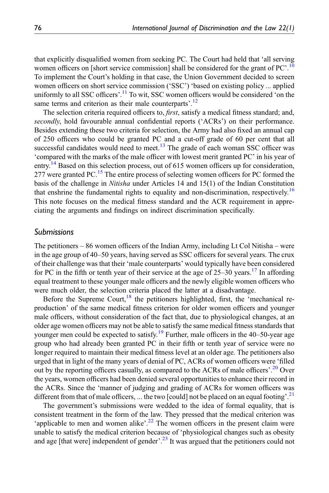that explicitly disqualified women from seeking PC. The Court had held that 'all serving women officers on [short service commission] shall be considered for the grant of PC'.<sup>[10](#page-9-9)</sup> To implement the Court's holding in that case, the Union Government decided to screen women officers on short service commission ('SSC') 'based on existing policy ... applied uniformly to all SSC officers'.<sup>[11](#page-9-10)</sup> To wit, SSC women officers would be considered 'on the same terms and criterion as their male counterparts'.<sup>[12](#page-9-11)</sup>

The selection criteria required officers to, *first*, satisfy a medical fitness standard; and, secondly, hold favourable annual confidential reports ('ACRs') on their performance. Besides extending these two criteria for selection, the Army had also fixed an annual cap of 250 officers who could be granted PC and a cut-off grade of 60 per cent that all successful candidates would need to meet.<sup>[13](#page-9-12)</sup> The grade of each woman SSC officer was 'compared with the marks of the male officer with lowest merit granted PC' in his year of entry.<sup>[14](#page-9-13)</sup> Based on this selection process, out of 615 women officers up for consideration, 277 were granted PC.<sup>[15](#page-9-14)</sup> The entire process of selecting women officers for PC formed the basis of the challenge in Nitisha under Articles 14 and 15(1) of the Indian Constitution that enshrine the fundamental rights to equality and non-discrimination, respectively.<sup>[16](#page-10-0)</sup> This note focuses on the medical fitness standard and the ACR requirement in appreciating the arguments and findings on indirect discrimination specifically.

### Submissions

The petitioners – 86 women officers of the Indian Army, including Lt Col Nitisha – were in the age group of 40–50 years, having served as SSC officers for several years. The crux of their challenge was that their 'male counterparts' would typically have been considered for PC in the fifth or tenth year of their service at the age of  $25-30$  years.<sup>[17](#page-10-1)</sup> In affording equal treatment to these younger male officers and the newly eligible women officers who were much older, the selection criteria placed the latter at a disadvantage.

Before the Supreme Court, $18$  the petitioners highlighted, first, the 'mechanical reproduction' of the same medical fitness criterion for older women officers and younger male officers, without consideration of the fact that, due to physiological changes, at an older age women officers may not be able to satisfy the same medical fitness standards that younger men could be expected to satisfy.<sup>[19](#page-10-3)</sup> Further, male officers in the 40–50-year age group who had already been granted PC in their fifth or tenth year of service were no longer required to maintain their medical fitness level at an older age. The petitioners also urged that in light of the many years of denial of PC, ACRs of women officers were 'filled out by the reporting officers casually, as compared to the ACRs of male officers'.<sup>[20](#page-10-4)</sup> Over the years, women officers had been denied several opportunities to enhance their record in the ACRs. Since the 'manner of judging and grading of ACRs for women officers was different from that of male officers, ... the two [could] not be placed on an equal footing'.<sup>[21](#page-10-5)</sup>

The government's submissions were wedded to the idea of formal equality, that is consistent treatment in the form of the law. They pressed that the medical criterion was 'applicable to men and women alike'.<sup>[22](#page-10-6)</sup> The women officers in the present claim were unable to satisfy the medical criterion because of 'physiological changes such as obesity and age [that were] independent of gender'.<sup>[23](#page-10-7)</sup> It was argued that the petitioners could not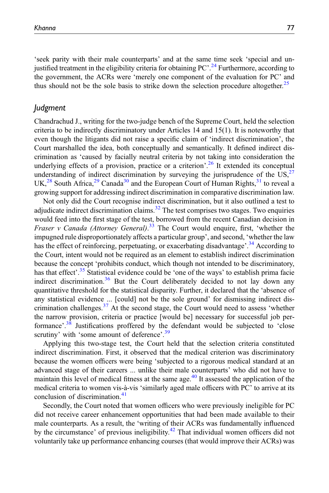'seek parity with their male counterparts' and at the same time seek 'special and un-justified treatment in the eligibility criteria for obtaining PC'.<sup>[24](#page-10-8)</sup> Furthermore, according to the government, the ACRs were 'merely one component of the evaluation for PC' and thus should not be the sole basis to strike down the selection procedure altogether.<sup>[25](#page-10-9)</sup>

### Judgment

Chandrachud J., writing for the two-judge bench of the Supreme Court, held the selection criteria to be indirectly discriminatory under Articles 14 and 15(1). It is noteworthy that even though the litigants did not raise a specific claim of 'indirect discrimination', the Court marshalled the idea, both conceptually and semantically. It defined indirect discrimination as 'caused by facially neutral criteria by not taking into consideration the underlying effects of a provision, practice or a criterion'.<sup>[26](#page-10-10)</sup> It extended its conceptual understanding of indirect discrimination by surveying the jurisprudence of the  $US<sub>1</sub><sup>27</sup>$  $US<sub>1</sub><sup>27</sup>$  $US<sub>1</sub><sup>27</sup>$ UK,<sup>[28](#page-10-12)</sup> South Africa,<sup>[29](#page-10-13)</sup> Canada<sup>[30](#page-10-14)</sup> and the European Court of Human Rights,<sup>[31](#page-10-15)</sup> to reveal a growing support for addressing indirect discrimination in comparative discrimination law.

Not only did the Court recognise indirect discrimination, but it also outlined a test to adjudicate indirect discrimination claims. $32$  The test comprises two stages. Two enquiries would feed into the first stage of the test, borrowed from the recent Canadian decision in Fraser v Canada (Attorney General).<sup>[33](#page-10-17)</sup> The Court would enquire, first, 'whether the impugned rule disproportionately affects a particular group', and second, 'whether the law has the effect of reinforcing, perpetuating, or exacerbating disadvantage'.<sup>[34](#page-10-18)</sup> According to the Court, intent would not be required as an element to establish indirect discrimination because the concept 'prohibits conduct, which though not intended to be discriminatory, has that effect'.<sup>[35](#page-10-19)</sup> Statistical evidence could be 'one of the ways' to establish prima facie indirect discrimination.<sup>[36](#page-10-20)</sup> But the Court deliberately decided to not lay down any quantitative threshold for the statistical disparity. Further, it declared that the 'absence of any statistical evidence ... [could] not be the sole ground' for dismissing indirect discrimination challenges. $37$  At the second stage, the Court would need to assess 'whether the narrow provision, criteria or practice [would be] necessary for successful job per-formance'.<sup>[38](#page-10-22)</sup> Justifications proffered by the defendant would be subjected to 'close scrutiny' with 'some amount of deference'.<sup>[39](#page-10-23)</sup>

Applying this two-stage test, the Court held that the selection criteria constituted indirect discrimination. First, it observed that the medical criterion was discriminatory because the women officers were being 'subjected to a rigorous medical standard at an advanced stage of their careers ... unlike their male counterparts' who did not have to maintain this level of medical fitness at the same age.<sup>[40](#page-10-24)</sup> It assessed the application of the medical criteria to women vis-à-vis 'similarly aged male officers with PC' to arrive at its conclusion of discrimination.<sup>[41](#page-10-25)</sup>

Secondly, the Court noted that women officers who were previously ineligible for PC did not receive career enhancement opportunities that had been made available to their male counterparts. As a result, the 'writing of their ACRs was fundamentally influenced by the circumstance' of previous ineligibility. $42$  That individual women officers did not voluntarily take up performance enhancing courses (that would improve their ACRs) was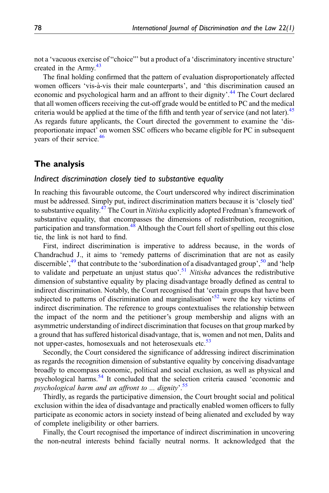not a 'vacuous exercise of "choice"' but a product of a 'discriminatory incentive structure' created in the Army.<sup>[43](#page-10-27)</sup>

The final holding confirmed that the pattern of evaluation disproportionately affected women officers 'vis-à-vis their male counterparts', and 'this discrimination caused an economic and psychological harm and an affront to their dignity'.<sup>[44](#page-10-28)</sup> The Court declared that all women officers receiving the cut-off grade would be entitled to PC and the medical criteria would be applied at the time of the fifth and tenth year of service (and not later).<sup>[45](#page-10-29)</sup> As regards future applicants, the Court directed the government to examine the 'disproportionate impact' on women SSC officers who became eligible for PC in subsequent years of their service.<sup>[46](#page-10-30)</sup>

# The analysis

### Indirect discrimination closely tied to substantive equality

In reaching this favourable outcome, the Court underscored why indirect discrimination must be addressed. Simply put, indirect discrimination matters because it is 'closely tied' to substantive equality.<sup>[47](#page-10-31)</sup> The Court in *Nitisha* explicitly adopted Fredman's framework of substantive equality, that encompasses the dimensions of redistribution, recognition, participation and transformation.<sup>[48](#page-10-32)</sup> Although the Court fell short of spelling out this close tie, the link is not hard to find.

First, indirect discrimination is imperative to address because, in the words of Chandrachud J., it aims to 'remedy patterns of discrimination that are not as easily discernible',<sup>[49](#page-10-33)</sup> that contribute to the 'subordination of a disadvantaged group',<sup>[50](#page-10-34)</sup> and 'help to validate and perpetuate an unjust status quo<sup>2</sup>.<sup>[51](#page-10-35)</sup> Nitisha advances the redistributive dimension of substantive equality by placing disadvantage broadly defined as central to indirect discrimination. Notably, the Court recognised that 'certain groups that have been subjected to patterns of discrimination and marginalisation<sup>[52](#page-11-0)</sup> were the key victims of indirect discrimination. The reference to groups contextualises the relationship between the impact of the norm and the petitioner's group membership and aligns with an asymmetric understanding of indirect discrimination that focuses on that group marked by a ground that has suffered historical disadvantage, that is, women and not men, Dalits and not upper-castes, homosexuals and not heterosexuals etc.<sup>[53](#page-11-1)</sup>

Secondly, the Court considered the significance of addressing indirect discrimination as regards the recognition dimension of substantive equality by conceiving disadvantage broadly to encompass economic, political and social exclusion, as well as physical and psychological harms.[54](#page-11-2) It concluded that the selection criteria caused 'economic and psychological harm and an affront to ... dignity'. [55](#page-11-3)

Thirdly, as regards the participative dimension, the Court brought social and political exclusion within the idea of disadvantage and practically enabled women officers to fully participate as economic actors in society instead of being alienated and excluded by way of complete ineligibility or other barriers.

Finally, the Court recognised the importance of indirect discrimination in uncovering the non-neutral interests behind facially neutral norms. It acknowledged that the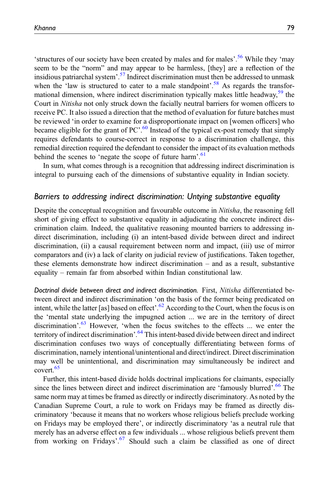'structures of our society have been created by males and for males'.<sup>[56](#page-11-4)</sup> While they 'may seem to be the "norm" and may appear to be harmless, [they] are a reflection of the insidious patriarchal system'.<sup>[57](#page-11-5)</sup> Indirect discrimination must then be addressed to unmask when the 'law is structured to cater to a male standpoint'.<sup>[58](#page-11-6)</sup> As regards the transfor-mational dimension, where indirect discrimination typically makes little headway,<sup>[59](#page-11-7)</sup> the Court in Nitisha not only struck down the facially neutral barriers for women officers to receive PC. It also issued a direction that the method of evaluation for future batches must be reviewed 'in order to examine for a disproportionate impact on [women officers] who became eligible for the grant of PC'.<sup>[60](#page-11-8)</sup> Instead of the typical ex-post remedy that simply requires defendants to course-correct in response to a discrimination challenge, this remedial direction required the defendant to consider the impact of its evaluation methods behind the scenes to 'negate the scope of future harm'.<sup>[61](#page-11-9)</sup>

In sum, what comes through is a recognition that addressing indirect discrimination is integral to pursuing each of the dimensions of substantive equality in Indian society.

#### Barriers to addressing indirect discrimination: Untying substantive equality

Despite the conceptual recognition and favourable outcome in Nitisha, the reasoning fell short of giving effect to substantive equality in adjudicating the concrete indirect discrimination claim. Indeed, the qualitative reasoning mounted barriers to addressing indirect discrimination, including (i) an intent-based divide between direct and indirect discrimination, (ii) a causal requirement between norm and impact, (iii) use of mirror comparators and (iv) a lack of clarity on judicial review of justifications. Taken together, these elements demonstrate how indirect discrimination – and as a result, substantive equality – remain far from absorbed within Indian constitutional law.

Doctrinal divide between direct and indirect discrimination. First, Nitisha differentiated between direct and indirect discrimination 'on the basis of the former being predicated on intent, while the latter [as] based on effect'.<sup>[62](#page-11-10)</sup> According to the Court, when the focus is on the 'mental state underlying the impugned action ... we are in the territory of direct discrimination'.<sup>[63](#page-11-11)</sup> However, 'when the focus switches to the effects ... we enter the territory of indirect discrimination'.<sup>[64](#page-11-12)</sup> This intent-based divide between direct and indirect discrimination confuses two ways of conceptually differentiating between forms of discrimination, namely intentional/unintentional and direct/indirect. Direct discrimination may well be unintentional, and discrimination may simultaneously be indirect and covert.<sup>[65](#page-11-13)</sup>

Further, this intent-based divide holds doctrinal implications for claimants, especially since the lines between direct and indirect discrimination are 'famously blurred'.<sup>[66](#page-11-14)</sup> The same norm may at times be framed as directly or indirectly discriminatory. As noted by the Canadian Supreme Court, a rule to work on Fridays may be framed as directly discriminatory 'because it means that no workers whose religious beliefs preclude working on Fridays may be employed there', or indirectly discriminatory 'as a neutral rule that merely has an adverse effect on a few individuals ... whose religious beliefs prevent them from working on Fridays'.<sup>[67](#page-11-15)</sup> Should such a claim be classified as one of direct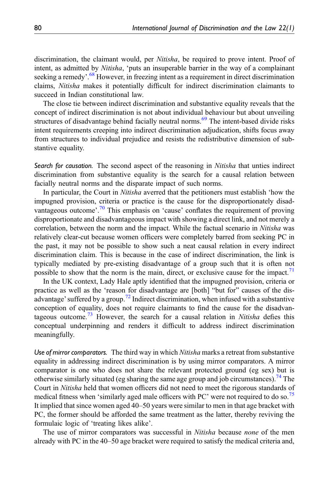discrimination, the claimant would, per *Nitisha*, be required to prove intent. Proof of intent, as admitted by Nitisha, 'puts an insuperable barrier in the way of a complainant seeking a remedy'.<sup>[68](#page-11-16)</sup> However, in freezing intent as a requirement in direct discrimination claims, Nitisha makes it potentially difficult for indirect discrimination claimants to succeed in Indian constitutional law.

The close tie between indirect discrimination and substantive equality reveals that the concept of indirect discrimination is not about individual behaviour but about unveiling structures of disadvantage behind facially neutral norms.<sup>[69](#page-11-17)</sup> The intent-based divide risks intent requirements creeping into indirect discrimination adjudication, shifts focus away from structures to individual prejudice and resists the redistributive dimension of substantive equality.

Search for causation. The second aspect of the reasoning in *Nitisha* that unties indirect discrimination from substantive equality is the search for a causal relation between facially neutral norms and the disparate impact of such norms.

In particular, the Court in Nitisha averred that the petitioners must establish 'how the impugned provision, criteria or practice is the cause for the disproportionately disad-vantageous outcome'.<sup>[70](#page-11-18)</sup> This emphasis on 'cause' conflates the requirement of proving disproportionate and disadvantageous impact with showing a direct link, and not merely a correlation, between the norm and the impact. While the factual scenario in *Nitisha* was relatively clear-cut because women officers were completely barred from seeking PC in the past, it may not be possible to show such a neat causal relation in every indirect discrimination claim. This is because in the case of indirect discrimination, the link is typically mediated by pre-existing disadvantage of a group such that it is often not possible to show that the norm is the main, direct, or exclusive cause for the impact.<sup>[71](#page-11-19)</sup>

In the UK context, Lady Hale aptly identified that the impugned provision, criteria or practice as well as the 'reason for disadvantage are [both] "but for" causes of the dis-advantage' suffered by a group.<sup>[72](#page-11-20)</sup> Indirect discrimination, when infused with a substantive conception of equality, does not require claimants to find the cause for the disadvan-tageous outcome.<sup>[73](#page-11-21)</sup> However, the search for a causal relation in *Nitisha* defies this conceptual underpinning and renders it difficult to address indirect discrimination meaningfully.

Use of mirror comparators. The third way in which Nitisha marks a retreat from substantive equality in addressing indirect discrimination is by using mirror comparators. A mirror comparator is one who does not share the relevant protected ground (eg sex) but is otherwise similarly situated (eg sharing the same age group and job circumstances).<sup>[74](#page-11-22)</sup> The Court in Nitisha held that women officers did not need to meet the rigorous standards of medical fitness when 'similarly aged male officers with PC' were not required to do so.<sup>[75](#page-11-23)</sup> It implied that since women aged 40–50 years were similar to men in that age bracket with PC, the former should be afforded the same treatment as the latter, thereby reviving the formulaic logic of 'treating likes alike'.

The use of mirror comparators was successful in *Nitisha* because *none* of the men already with PC in the 40–50 age bracket were required to satisfy the medical criteria and,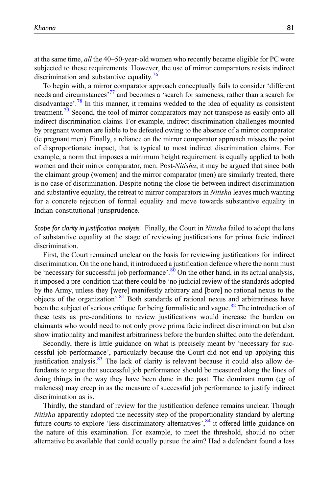at the same time, all the 40–50-year-old women who recently became eligible for PC were subjected to these requirements. However, the use of mirror comparators resists indirect discrimination and substantive equality.<sup>[76](#page-11-24)</sup>

To begin with, a mirror comparator approach conceptually fails to consider 'different needs and circumstances<sup>[77](#page-11-25)</sup> and becomes a 'search for sameness, rather than a search for disadvantage'.<sup>[78](#page-11-26)</sup> In this manner, it remains wedded to the idea of equality as consistent treatment.<sup>[79](#page-11-27)</sup> Second, the tool of mirror comparators may not transpose as easily onto all indirect discrimination claims. For example, indirect discrimination challenges mounted by pregnant women are liable to be defeated owing to the absence of a mirror comparator (ie pregnant men). Finally, a reliance on the mirror comparator approach misses the point of disproportionate impact, that is typical to most indirect discrimination claims. For example, a norm that imposes a minimum height requirement is equally applied to both women and their mirror comparator, men. Post-Nitisha, it may be argued that since both the claimant group (women) and the mirror comparator (men) are similarly treated, there is no case of discrimination. Despite noting the close tie between indirect discrimination and substantive equality, the retreat to mirror comparators in *Nitisha* leaves much wanting for a concrete rejection of formal equality and move towards substantive equality in Indian constitutional jurisprudence.

Scope for clarity in justification analysis. Finally, the Court in *Nitisha* failed to adopt the lens of substantive equality at the stage of reviewing justifications for prima facie indirect discrimination.

First, the Court remained unclear on the basis for reviewing justifications for indirect discrimination. On the one hand, it introduced a justification defence where the norm must be 'necessary for successful job performance'.<sup>[80](#page-11-28)</sup> On the other hand, in its actual analysis, it imposed a pre-condition that there could be 'no judicial review of the standards adopted by the Army, unless they [were] manifestly arbitrary and [bore] no rational nexus to the objects of the organization'.<sup>[81](#page-11-29)</sup> Both standards of rational nexus and arbitrariness have been the subject of serious critique for being formalistic and vague.<sup>[82](#page-11-30)</sup> The introduction of these tests as pre-conditions to review justifications would increase the burden on claimants who would need to not only prove prima facie indirect discrimination but also show irrationality and manifest arbitrariness before the burden shifted onto the defendant.

Secondly, there is little guidance on what is precisely meant by 'necessary for successful job performance', particularly because the Court did not end up applying this justification analysis.<sup>[83](#page-11-31)</sup> The lack of clarity is relevant because it could also allow defendants to argue that successful job performance should be measured along the lines of doing things in the way they have been done in the past. The dominant norm (eg of maleness) may creep in as the measure of successful job performance to justify indirect discrimination as is.

Thirdly, the standard of review for the justification defence remains unclear. Though Nitisha apparently adopted the necessity step of the proportionality standard by alerting future courts to explore 'less discriminatory alternatives',<sup>[84](#page-11-32)</sup> it offered little guidance on the nature of this examination. For example, to meet the threshold, should no other alternative be available that could equally pursue the aim? Had a defendant found a less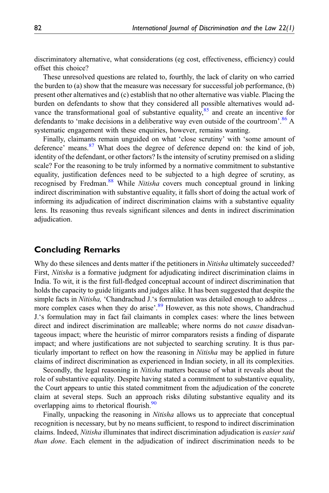discriminatory alternative, what considerations (eg cost, effectiveness, efficiency) could offset this choice?

These unresolved questions are related to, fourthly, the lack of clarity on who carried the burden to (a) show that the measure was necessary for successful job performance, (b) present other alternatives and (c) establish that no other alternative was viable. Placing the burden on defendants to show that they considered all possible alternatives would advance the transformational goal of substantive equality, $85$  and create an incentive for defendants to 'make decisions in a deliberative way even outside of the courtroom'.<sup>[86](#page-11-34)</sup> A systematic engagement with these enquiries, however, remains wanting.

Finally, claimants remain unguided on what 'close scrutiny' with 'some amount of deference' means.<sup>[87](#page-12-0)</sup> What does the degree of deference depend on: the kind of job, identity of the defendant, or other factors? Is the intensity of scrutiny premised on a sliding scale? For the reasoning to be truly informed by a normative commitment to substantive equality, justification defences need to be subjected to a high degree of scrutiny, as recognised by Fredman.<sup>[88](#page-12-1)</sup> While Nitisha covers much conceptual ground in linking indirect discrimination with substantive equality, it falls short of doing the actual work of informing its adjudication of indirect discrimination claims with a substantive equality lens. Its reasoning thus reveals significant silences and dents in indirect discrimination adjudication.

# Concluding Remarks

Why do these silences and dents matter if the petitioners in *Nitisha* ultimately succeeded? First, Nitisha is a formative judgment for adjudicating indirect discrimination claims in India. To wit, it is the first full-fledged conceptual account of indirect discrimination that holds the capacity to guide litigants and judges alike. It has been suggested that despite the simple facts in *Nitisha*, 'Chandrachud J.'s formulation was detailed enough to address ... more complex cases when they do arise'.<sup>[89](#page-12-2)</sup> However, as this note shows, Chandrachud J.'s formulation may in fact fail claimants in complex cases: where the lines between direct and indirect discrimination are malleable; where norms do not *cause* disadvantageous impact; where the heuristic of mirror comparators resists a finding of disparate impact; and where justifications are not subjected to searching scrutiny. It is thus particularly important to reflect on how the reasoning in *Nitisha* may be applied in future claims of indirect discrimination as experienced in Indian society, in all its complexities.

Secondly, the legal reasoning in Nitisha matters because of what it reveals about the role of substantive equality. Despite having stated a commitment to substantive equality, the Court appears to untie this stated commitment from the adjudication of the concrete claim at several steps. Such an approach risks diluting substantive equality and its overlapping aims to rhetorical flourish.<sup>[90](#page-12-3)</sup>

Finally, unpacking the reasoning in Nitisha allows us to appreciate that conceptual recognition is necessary, but by no means sufficient, to respond to indirect discrimination claims. Indeed, *Nitisha* illuminates that indirect discrimination adjudication is *easier said* than done. Each element in the adjudication of indirect discrimination needs to be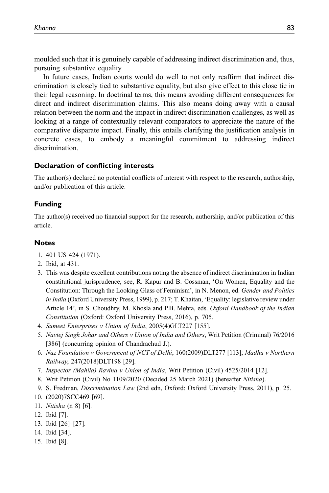moulded such that it is genuinely capable of addressing indirect discrimination and, thus, pursuing substantive equality.

In future cases, Indian courts would do well to not only reaffirm that indirect discrimination is closely tied to substantive equality, but also give effect to this close tie in their legal reasoning. In doctrinal terms, this means avoiding different consequences for direct and indirect discrimination claims. This also means doing away with a causal relation between the norm and the impact in indirect discrimination challenges, as well as looking at a range of contextually relevant comparators to appreciate the nature of the comparative disparate impact. Finally, this entails clarifying the justification analysis in concrete cases, to embody a meaningful commitment to addressing indirect discrimination.

### Declaration of conflicting interests

The author(s) declared no potential conflicts of interest with respect to the research, authorship, and/or publication of this article.

#### Funding

The author(s) received no financial support for the research, authorship, and/or publication of this article.

#### **Notes**

- <span id="page-9-0"></span>1. 401 US 424 (1971).
- <span id="page-9-2"></span><span id="page-9-1"></span>2. Ibid, at 431.
- 3. This was despite excellent contributions noting the absence of indirect discrimination in Indian constitutional jurisprudence, see, R. Kapur and B. Cossman, 'On Women, Equality and the Constitution: Through the Looking Glass of Feminism', in N. Menon, ed. Gender and Politics in India (Oxford University Press, 1999), p. 217; T. Khaitan, 'Equality: legislative review under Article 14', in S. Choudhry, M. Khosla and P.B. Mehta, eds. Oxford Handbook of the Indian Constitution (Oxford: Oxford University Press, 2016), p. 705.
- <span id="page-9-3"></span>4. Sumeet Enterprises v Union of India, 2005(4)GLT227 [155].
- <span id="page-9-4"></span>5. Navtej Singh Johar and Others v Union of India and Others, Writ Petition (Criminal) 76/2016 [386] (concurring opinion of Chandrachud J.).
- <span id="page-9-5"></span>6. Naz Foundation v Government of NCT of Delhi, 160(2009)DLT277 [113]; Madhu v Northern Railway, 247(2018)DLT198 [29].
- <span id="page-9-6"></span>7. Inspector (Mahila) Ravina v Union of India, Writ Petition (Civil) 4525/2014 [12].
- <span id="page-9-8"></span><span id="page-9-7"></span>8. Writ Petition (Civil) No 1109/2020 (Decided 25 March 2021) (hereafter Nitisha).
- <span id="page-9-9"></span>9. S. Fredman, Discrimination Law (2nd edn, Oxford: Oxford University Press, 2011), p. 25.
- <span id="page-9-10"></span>10. (2020)7SCC469 [69].
- <span id="page-9-11"></span>11. Nitisha (n 8) [6].
- <span id="page-9-12"></span>12. Ibid [7].
- <span id="page-9-13"></span>13. Ibid [26]–[27].
- <span id="page-9-14"></span>14. Ibid [34].
- 15. Ibid [8].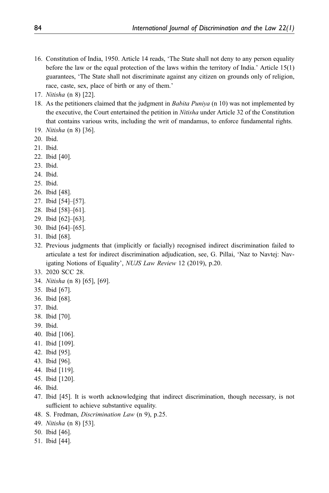- <span id="page-10-0"></span>16. Constitution of India, 1950. Article 14 reads, 'The State shall not deny to any person equality before the law or the equal protection of the laws within the territory of India.' Article 15(1) guarantees, 'The State shall not discriminate against any citizen on grounds only of religion, race, caste, sex, place of birth or any of them.'
- <span id="page-10-1"></span>17. Nitisha (n 8) [22].
- <span id="page-10-2"></span>18. As the petitioners claimed that the judgment in *Babita Puniya* (n 10) was not implemented by the executive, the Court entertained the petition in *Nitisha* under Article 32 of the Constitution that contains various writs, including the writ of mandamus, to enforce fundamental rights.
- <span id="page-10-3"></span>19. Nitisha (n 8) [36].
- <span id="page-10-4"></span>20. Ibid.
- <span id="page-10-5"></span>21. Ibid.
- <span id="page-10-6"></span>22. Ibid [40].
- <span id="page-10-7"></span>23. Ibid.
- <span id="page-10-8"></span>24. Ibid.
- <span id="page-10-9"></span>25. Ibid.
- <span id="page-10-10"></span>26. Ibid [48].
- <span id="page-10-11"></span>27. Ibid [54]–[57].
- <span id="page-10-12"></span>28. Ibid [58]–[61].
- <span id="page-10-13"></span>29. Ibid [62]–[63].
- <span id="page-10-14"></span>30. Ibid [64]–[65].
- <span id="page-10-15"></span>31. Ibid [68].
- <span id="page-10-16"></span>32. Previous judgments that (implicitly or facially) recognised indirect discrimination failed to articulate a test for indirect discrimination adjudication, see, G. Pillai, 'Naz to Navtej: Navigating Notions of Equality', NUJS Law Review 12 (2019), p.20.
- <span id="page-10-18"></span><span id="page-10-17"></span>33. 2020 SCC 28.
- <span id="page-10-19"></span>34. Nitisha (n 8) [65], [69].
- <span id="page-10-20"></span>35. Ibid [67].
- 36. Ibid [68].
- <span id="page-10-21"></span>37. Ibid.
- <span id="page-10-22"></span>38. Ibid [70].
- <span id="page-10-23"></span>39. Ibid.
- <span id="page-10-24"></span>40. Ibid [106].
- <span id="page-10-26"></span><span id="page-10-25"></span>41. Ibid [109].
- 42. Ibid [95].
- <span id="page-10-27"></span>43. Ibid [96].
- <span id="page-10-28"></span>44. Ibid [119].
- <span id="page-10-29"></span>45. Ibid [120].
- <span id="page-10-30"></span>46. Ibid.
- <span id="page-10-31"></span>47. Ibid [45]. It is worth acknowledging that indirect discrimination, though necessary, is not sufficient to achieve substantive equality.
- <span id="page-10-32"></span>48. S. Fredman, Discrimination Law (n 9), p.25.
- <span id="page-10-33"></span>49. Nitisha (n 8) [53].
- <span id="page-10-34"></span>50. Ibid [46].
- <span id="page-10-35"></span>51. Ibid [44].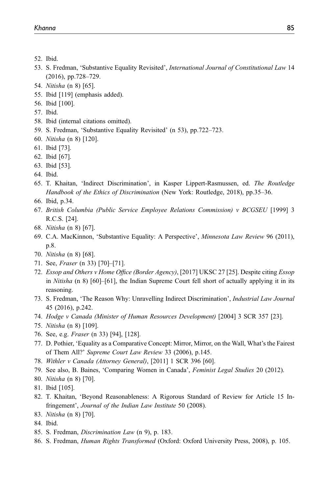- <span id="page-11-1"></span><span id="page-11-0"></span>52. Ibid.
- 53. S. Fredman, 'Substantive Equality Revisited', International Journal of Constitutional Law 14 (2016), pp.728–729.
- <span id="page-11-3"></span><span id="page-11-2"></span>54. Nitisha (n 8) [65].
- <span id="page-11-4"></span>55. Ibid [119] (emphasis added).
- 56. Ibid [100].
- <span id="page-11-5"></span>57. Ibid.
- <span id="page-11-6"></span>58. Ibid (internal citations omitted).
- <span id="page-11-7"></span>59. S. Fredman, 'Substantive Equality Revisited' (n 53), pp.722–723.
- <span id="page-11-9"></span><span id="page-11-8"></span>60. Nitisha (n 8) [120].
- <span id="page-11-10"></span>61. Ibid [73].
- <span id="page-11-11"></span>62. Ibid [67].
- 63. Ibid [53].
- <span id="page-11-12"></span>64. Ibid.
- <span id="page-11-13"></span>65. T. Khaitan, 'Indirect Discrimination', in Kasper Lippert-Rasmussen, ed. The Routledge Handbook of the Ethics of Discrimination (New York: Routledge, 2018), pp.35–36.
- <span id="page-11-15"></span><span id="page-11-14"></span>66. Ibid, p.34.
- 67. British Columbia (Public Service Employee Relations Commission) v BCGSEU [1999] 3 R.C.S. [24].
- <span id="page-11-17"></span><span id="page-11-16"></span>68. Nitisha (n 8) [67].
- 69. C.A. MacKinnon, 'Substantive Equality: A Perspective', Minnesota Law Review 96 (2011), p.8.
- <span id="page-11-19"></span><span id="page-11-18"></span>70. Nitisha (n 8) [68].
- <span id="page-11-20"></span>71. See, Fraser (n 33) [70]–[71].
- 72. Essop and Others v Home Office (Border Agency), [2017] UKSC 27 [25]. Despite citing Essop in *Nitisha* (n 8) [60]–[61], the Indian Supreme Court fell short of actually applying it in its reasoning.
- <span id="page-11-21"></span>73. S. Fredman, 'The Reason Why: Unravelling Indirect Discrimination', Industrial Law Journal 45 (2016), p.242.
- <span id="page-11-23"></span><span id="page-11-22"></span>74. Hodge v Canada (Minister of Human Resources Development) [2004] 3 SCR 357 [23].
- <span id="page-11-24"></span>75. Nitisha (n 8) [109].
- <span id="page-11-25"></span>76. See, e.g. Fraser (n 33) [94], [128].
- 77. D. Pothier, 'Equality as a Comparative Concept: Mirror, Mirror, on the Wall, What's the Fairest of Them All?' Supreme Court Law Review 33 (2006), p.145.
- <span id="page-11-27"></span><span id="page-11-26"></span>78. Withler v Canada (Attorney General), [2011] 1 SCR 396 [60].
- <span id="page-11-28"></span>79. See also, B. Baines, 'Comparing Women in Canada', Feminist Legal Studies 20 (2012).
- 80. Nitisha (n 8) [70].
- <span id="page-11-30"></span><span id="page-11-29"></span>81. Ibid [105].
- 82. T. Khaitan, 'Beyond Reasonableness: A Rigorous Standard of Review for Article 15 Infringement', Journal of the Indian Law Institute 50 (2008).
- <span id="page-11-31"></span>83. Nitisha (n 8) [70].
- <span id="page-11-33"></span><span id="page-11-32"></span>84. Ibid.
- <span id="page-11-34"></span>85. S. Fredman, Discrimination Law (n 9), p. 183.
- 86. S. Fredman, Human Rights Transformed (Oxford: Oxford University Press, 2008), p. 105.